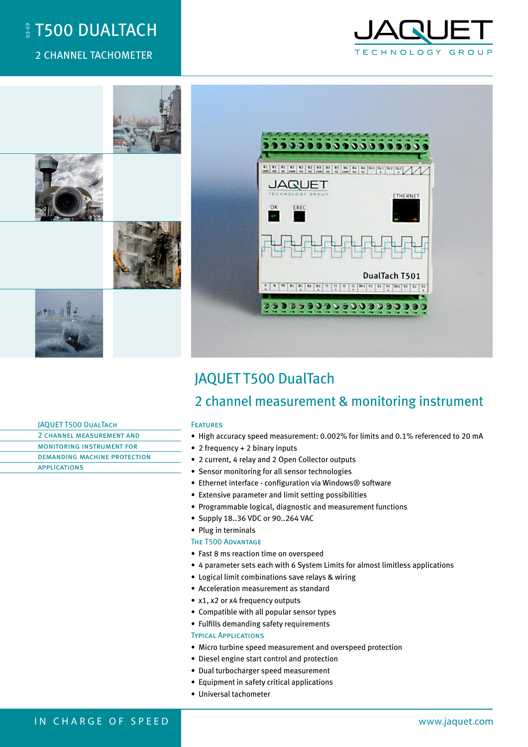# <sup>ू</sup> T500 DUALTACH

## 2 CHANNEL TACHOMETER





# JAQUET T500 DualTach

# 2 channel measurement & monitoring instrument

- High accuracy speed measurement: 0.002% for limits and 0.1% referenced to 20 mA
- 2 frequency + 2 binary inputs
- 2 current, 4 relay and 2 Open Collector outputs
- Sensor monitoring for all sensor technologies
- Ethernet interface configuration via Windows® software
- Extensive parameter and limit setting possibilities
- Programmable logical, diagnostic and measurement functions
- Supply 18..36 VDC or 90..264 VAC
- Plug in terminals
- The T500 ADVANTAGE
- Fast 8 ms reaction time on overspeed
- 4 parameter sets each with 6 System Limits for almost limitless applications
- Logical limit combinations save relays & wiring
- Acceleration measurement as standard
- x1, x2 or x4 frequency outputs
- Compatible with all popular sensor types
- Fulfills demanding safety requirements

### Typical Applications

- Micro turbine speed measurement and overspeed protection
- Diesel engine start control and protection
- Dual turbocharger speed measurement
- Equipment in safety critical applications
- Universal tachometer

### JAQUET T500 DualTach 2 channel measurement and monitoring instrument for demanding machine protection applications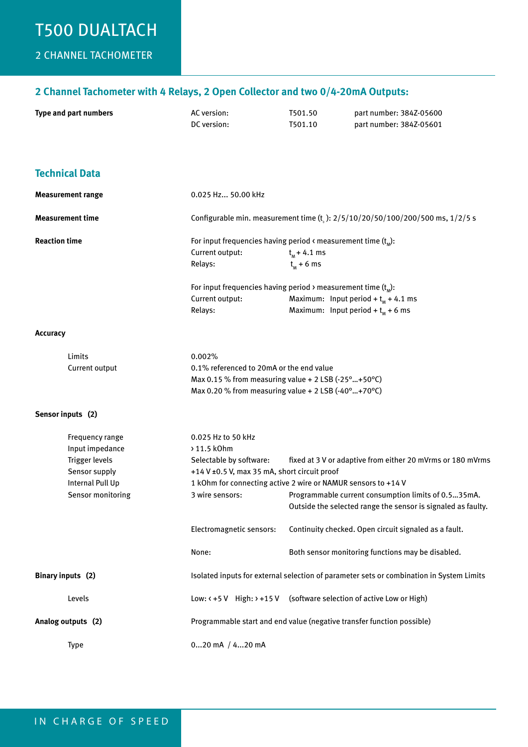# T500 DUAlTACH

# 2 CHANNEL TACHOMETER

### **2 Channel Tachometer with 4 Relays, 2 Open Collector and two 0/4-20mA Outputs:**

| Type and part numbers | AC version: | T501.50 | part number: 384Z-05600 |
|-----------------------|-------------|---------|-------------------------|
|                       | DC version: | T501.10 | part number: 384Z-05601 |

| <b>Technical Data</b>                                                                                          |                                                                                                                                |                                                                                                                                                                                                                                                                                                     |  |
|----------------------------------------------------------------------------------------------------------------|--------------------------------------------------------------------------------------------------------------------------------|-----------------------------------------------------------------------------------------------------------------------------------------------------------------------------------------------------------------------------------------------------------------------------------------------------|--|
| <b>Measurement range</b>                                                                                       | 0.025 Hz 50.00 kHz                                                                                                             |                                                                                                                                                                                                                                                                                                     |  |
| <b>Measurement time</b>                                                                                        | Configurable min. measurement time (t <sub>s</sub> ): $2/5/10/20/50/100/200/500$ ms, $1/2/5$ s                                 |                                                                                                                                                                                                                                                                                                     |  |
| <b>Reaction time</b>                                                                                           | Current output:<br>Relays:<br>Current output:<br>Relays:                                                                       | For input frequencies having period $\kappa$ measurement time $(t_{\omega})$ :<br>$t_{M}$ + 4.1 ms<br>$t_{M}$ + 6 ms<br>For input frequencies having period $\rightarrow$ measurement time (t <sub>M</sub> ):<br>Maximum: Input period + $t_{M}$ + 4.1 ms<br>Maximum: Input period + $t_{M}$ + 6 ms |  |
| <b>Accuracy</b>                                                                                                |                                                                                                                                |                                                                                                                                                                                                                                                                                                     |  |
| Limits<br>Current output                                                                                       | 0.002%<br>0.1% referenced to 20mA or the end value                                                                             | Max 0.15 % from measuring value + 2 LSB (-25°  +50°C)<br>Max 0.20 % from measuring value + 2 LSB (-40°  +70°C)                                                                                                                                                                                      |  |
| Sensor inputs (2)                                                                                              |                                                                                                                                |                                                                                                                                                                                                                                                                                                     |  |
| Frequency range<br>Input impedance<br>Trigger levels<br>Sensor supply<br>Internal Pull Up<br>Sensor monitoring | 0.025 Hz to 50 kHz<br>>11.5 kOhm<br>Selectable by software:<br>+14 V ±0.5 V, max 35 mA, short circuit proof<br>3 wire sensors: | fixed at 3 V or adaptive from either 20 mVrms or 180 mVrms<br>1 kOhm for connecting active 2 wire or NAMUR sensors to +14 V<br>Programmable current consumption limits of 0.535mA.<br>Outside the selected range the sensor is signaled as faulty.                                                  |  |
|                                                                                                                | Electromagnetic sensors:                                                                                                       | Continuity checked. Open circuit signaled as a fault.                                                                                                                                                                                                                                               |  |
|                                                                                                                | None:                                                                                                                          | Both sensor monitoring functions may be disabled.                                                                                                                                                                                                                                                   |  |
| Binary inputs (2)                                                                                              | Isolated inputs for external selection of parameter sets or combination in System Limits                                       |                                                                                                                                                                                                                                                                                                     |  |
| Levels                                                                                                         |                                                                                                                                | Low: <+5 V High: > +15 V (software selection of active Low or High)                                                                                                                                                                                                                                 |  |
| Analog outputs (2)                                                                                             |                                                                                                                                | Programmable start and end value (negative transfer function possible)                                                                                                                                                                                                                              |  |
| Type                                                                                                           | 020 mA / 420 mA                                                                                                                |                                                                                                                                                                                                                                                                                                     |  |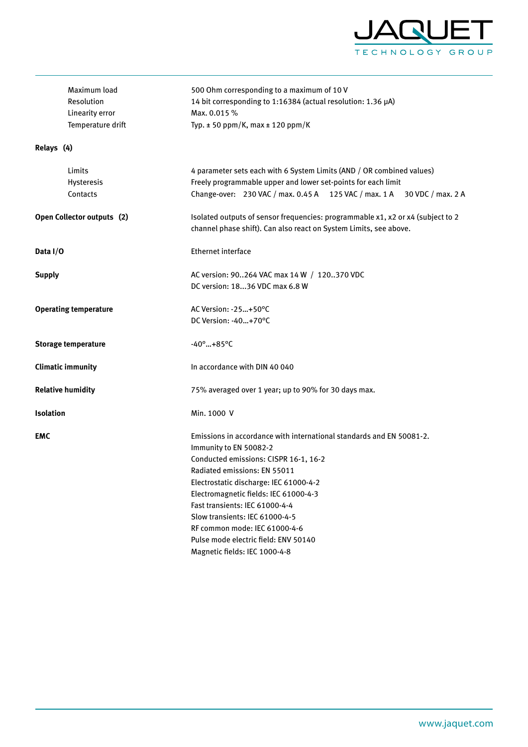

| Maximum load                 | 500 Ohm corresponding to a maximum of 10 V                                                                                                           |  |  |  |  |
|------------------------------|------------------------------------------------------------------------------------------------------------------------------------------------------|--|--|--|--|
| Resolution                   | 14 bit corresponding to 1:16384 (actual resolution: 1.36 µA)                                                                                         |  |  |  |  |
| Linearity error              | Max. 0.015 %                                                                                                                                         |  |  |  |  |
| Temperature drift            | Typ. $\pm$ 50 ppm/K, max $\pm$ 120 ppm/K                                                                                                             |  |  |  |  |
| Relays (4)                   |                                                                                                                                                      |  |  |  |  |
| Limits                       | 4 parameter sets each with 6 System Limits (AND / OR combined values)                                                                                |  |  |  |  |
| Hysteresis                   | Freely programmable upper and lower set-points for each limit                                                                                        |  |  |  |  |
| Contacts                     | Change-over: 230 VAC / max. 0.45 A 125 VAC / max. 1 A 30 VDC / max. 2 A                                                                              |  |  |  |  |
| Open Collector outputs (2)   | Isolated outputs of sensor frequencies: programmable x1, x2 or x4 (subject to 2<br>channel phase shift). Can also react on System Limits, see above. |  |  |  |  |
| Data I/O                     | <b>Ethernet interface</b>                                                                                                                            |  |  |  |  |
| <b>Supply</b>                | AC version: 90264 VAC max 14 W / 120370 VDC                                                                                                          |  |  |  |  |
|                              | DC version: 1836 VDC max 6.8 W                                                                                                                       |  |  |  |  |
| <b>Operating temperature</b> | AC Version: -25+50°C                                                                                                                                 |  |  |  |  |
|                              | DC Version: -40+70°C                                                                                                                                 |  |  |  |  |
| <b>Storage temperature</b>   | $-40^{\circ}$ +85°C                                                                                                                                  |  |  |  |  |
| <b>Climatic immunity</b>     | In accordance with DIN 40 040                                                                                                                        |  |  |  |  |
| <b>Relative humidity</b>     | 75% averaged over 1 year; up to 90% for 30 days max.                                                                                                 |  |  |  |  |
| <b>Isolation</b>             | Min. 1000 V                                                                                                                                          |  |  |  |  |
| <b>EMC</b>                   | Emissions in accordance with international standards and EN 50081-2.                                                                                 |  |  |  |  |
|                              | Immunity to EN 50082-2                                                                                                                               |  |  |  |  |
|                              | Conducted emissions: CISPR 16-1, 16-2                                                                                                                |  |  |  |  |
|                              | Radiated emissions: EN 55011                                                                                                                         |  |  |  |  |
|                              | Electrostatic discharge: IEC 61000-4-2                                                                                                               |  |  |  |  |
|                              | Electromagnetic fields: IEC 61000-4-3                                                                                                                |  |  |  |  |
|                              | Fast transients: IEC 61000-4-4                                                                                                                       |  |  |  |  |
|                              | Slow transients: IEC 61000-4-5                                                                                                                       |  |  |  |  |
|                              | RF common mode: IEC 61000-4-6                                                                                                                        |  |  |  |  |
|                              | Pulse mode electric field: ENV 50140                                                                                                                 |  |  |  |  |
|                              | Magnetic fields: IEC 1000-4-8                                                                                                                        |  |  |  |  |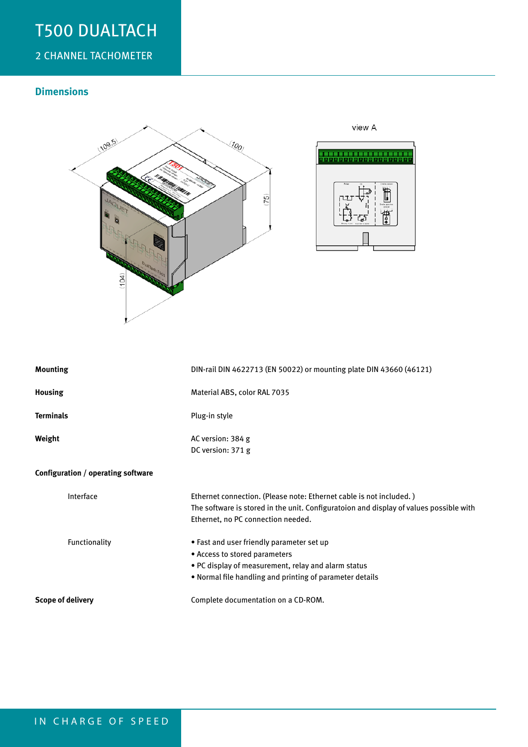# T500 DUAlTACH

# 2 CHANNEL TACHOMETER

## **Dimensions**



| <b>Mounting</b>                    | DIN-rail DIN 4622713 (EN 50022) or mounting plate DIN 43660 (46121)                                                                                                                                 |
|------------------------------------|-----------------------------------------------------------------------------------------------------------------------------------------------------------------------------------------------------|
| <b>Housing</b>                     | Material ABS, color RAL 7035                                                                                                                                                                        |
| <b>Terminals</b>                   | Plug-in style                                                                                                                                                                                       |
| Weight                             | AC version: 384 g<br>DC version: 371 g                                                                                                                                                              |
| Configuration / operating software |                                                                                                                                                                                                     |
| Interface                          | Ethernet connection. (Please note: Ethernet cable is not included.)<br>The software is stored in the unit. Configuratoion and display of values possible with<br>Ethernet, no PC connection needed. |
| Functionality                      | • Fast and user friendly parameter set up<br>• Access to stored parameters<br>. PC display of measurement, relay and alarm status<br>. Normal file handling and printing of parameter details       |
| Scope of delivery                  | Complete documentation on a CD-ROM.                                                                                                                                                                 |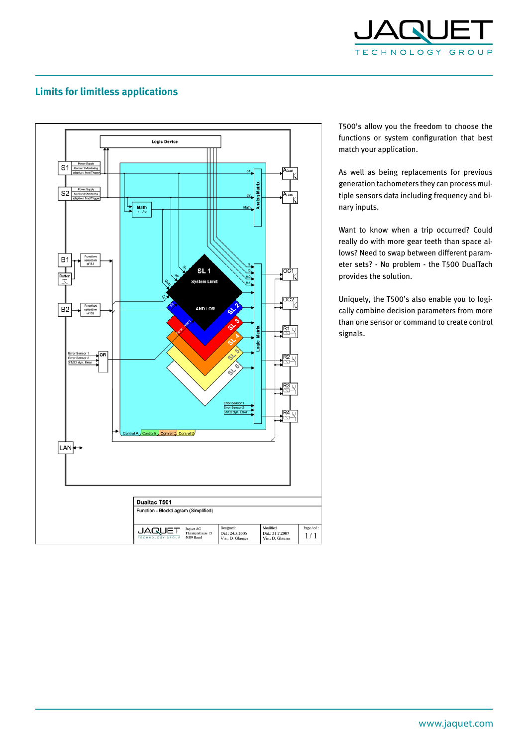

## **Limits for limitless applications**



T500's allow you the freedom to choose the functions or system configuration that best match your application.

As well as being replacements for previous generation tachometers they can process multiple sensors data including frequency and binary inputs.

Want to know when a trip occurred? Could really do with more gear teeth than space allows? Need to swap between different parameter sets? - No problem - the T500 DualTach provides the solution.

Uniquely, the T500's also enable you to logically combine decision parameters from more than one sensor or command to create control signals.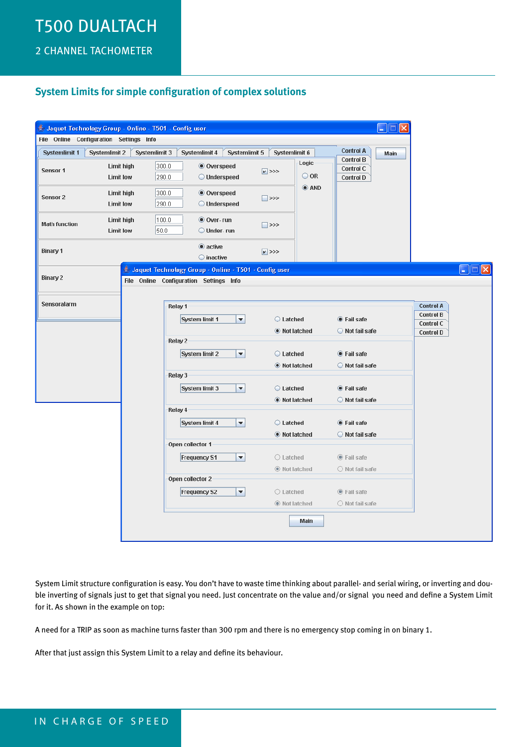# T500 DUAlTACH

2 CHANNEL TACHOMETER

### **System Limits for simple configuration of complex solutions**

|                      |                                         | Jaquet Technology Group - Online - T501 - Config user         |                      |                                                                                    | ц    |                                      |                                                                           |
|----------------------|-----------------------------------------|---------------------------------------------------------------|----------------------|------------------------------------------------------------------------------------|------|--------------------------------------|---------------------------------------------------------------------------|
|                      | File Online Configuration Settings Info |                                                               |                      |                                                                                    |      |                                      |                                                                           |
| <b>Systemlimit 1</b> | <b>Systemlimit 2</b>                    | Systemlimit 5<br>Systemlimit 3<br>Systemlimit 4               | Systemlimit 6        | <b>Control A</b>                                                                   | Main |                                      |                                                                           |
| Sensor 1             | Limit high<br><b>Limit low</b>          | 300.0<br><b>Overspeed</b><br>290.0<br>O Underspeed            | $\sqrt{2}$           | <b>Control B</b><br>Logic<br><b>Control C</b><br>$\bigcirc$ OR<br><b>Control D</b> |      |                                      |                                                                           |
| Sensor <sub>2</sub>  | Limit high<br><b>Limit low</b>          | 300.0<br><b>● Overspeed</b><br>290.0<br>O Underspeed          | □⋙                   | $\odot$ AND                                                                        |      |                                      |                                                                           |
| <b>Math function</b> | Limit high<br><b>Limit low</b>          | 100.0 <br>$\bullet$ Over-run<br>50.0<br>$\bigcirc$ Under- run | ■ >>>                |                                                                                    |      |                                      |                                                                           |
| <b>Binary 1</b>      |                                         | $\bullet$ active<br>◯ inactive                                | $V$ >>>              |                                                                                    |      |                                      |                                                                           |
|                      |                                         | Jaquet Technology Group - Online - T501 - Config user         |                      |                                                                                    |      |                                      | $\llbracket \blacksquare \rrbracket \square \llbracket \times \rrbracket$ |
| Binary 2             |                                         | File Online Configuration Settings Info                       |                      |                                                                                    |      |                                      |                                                                           |
|                      |                                         |                                                               |                      |                                                                                    |      |                                      |                                                                           |
| Sensoralarm          |                                         | Relay 1                                                       |                      |                                                                                    |      | <b>Control A</b>                     |                                                                           |
|                      |                                         | $\blacktriangledown$<br>System limit 1                        | C Latched            | <b>Second</b> Fail safe                                                            |      | <b>Control B</b>                     |                                                                           |
|                      |                                         |                                                               | ● Not latched        | Not fail safe                                                                      |      | <b>Control C</b><br><b>Control D</b> |                                                                           |
|                      |                                         | Relay 2                                                       |                      |                                                                                    |      |                                      |                                                                           |
|                      |                                         | System limit 2<br>▼                                           | C Latched            | ● Fail safe                                                                        |      |                                      |                                                                           |
|                      |                                         |                                                               | <b>O</b> Not latched | Not fail safe                                                                      |      |                                      |                                                                           |
|                      |                                         | Relay 3                                                       |                      |                                                                                    |      |                                      |                                                                           |
|                      |                                         | System limit 3<br>$\blacktriangledown$                        | C Latched            | <b>C</b> Fail safe                                                                 |      |                                      |                                                                           |
|                      |                                         |                                                               | <b>O</b> Not latched | Not fail safe                                                                      |      |                                      |                                                                           |
|                      |                                         | Relay 4                                                       |                      |                                                                                    |      |                                      |                                                                           |
|                      |                                         | System limit 4<br>$\blacktriangledown$                        | C Latched            | ● Fail safe                                                                        |      |                                      |                                                                           |
|                      |                                         |                                                               | <b>O</b> Not latched | Not fail safe                                                                      |      |                                      |                                                                           |
|                      |                                         | Open collector 1                                              |                      |                                                                                    |      |                                      |                                                                           |
|                      |                                         | $\blacktriangledown$<br><b>Frequency S1</b>                   | $\bigcirc$ Latched   | ◉ Fail safe                                                                        |      |                                      |                                                                           |
|                      |                                         |                                                               | <b>O</b> Not latched | O Not fail safe                                                                    |      |                                      |                                                                           |
|                      |                                         | Open collector 2                                              |                      |                                                                                    |      |                                      |                                                                           |
|                      |                                         | $\blacktriangledown$<br><b>Frequency S2</b>                   | $\bigcirc$ Latched   | ◉ Fail safe                                                                        |      |                                      |                                                                           |
|                      |                                         |                                                               | ◉ Not latched        | O Not fail safe                                                                    |      |                                      |                                                                           |
|                      |                                         |                                                               |                      | Main                                                                               |      |                                      |                                                                           |

System Limit structure configuration is easy. You don't have to waste time thinking about parallel- and serial wiring, or inverting and double inverting of signals just to get that signal you need. Just concentrate on the value and/or signal you need and define a System Limit for it. As shown in the example on top:

A need for a TRIP as soon as machine turns faster than 300 rpm and there is no emergency stop coming in on binary 1.

After that just assign this System Limit to a relay and define its behaviour.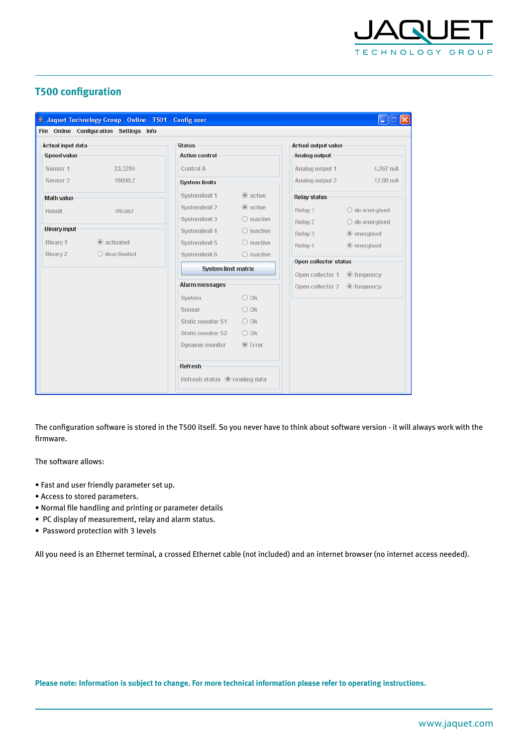

### **T500 configuration**

| Jaquet Technology Group - Online - T501 - Config user |                                          |                                |                            | $\Box$ $\Box$           |  |
|-------------------------------------------------------|------------------------------------------|--------------------------------|----------------------------|-------------------------|--|
| File Online Configuration Settings Info               |                                          |                                |                            |                         |  |
| Actual input data                                     | <b>Status</b>                            |                                | <b>Actual output value</b> |                         |  |
| <b>Speed value</b>                                    | <b>Active control</b>                    |                                | Analog output              |                         |  |
| Sensor 1<br>33.3294                                   | Control A                                |                                | Analog output 1            | 4.267 mA                |  |
| Sensor <sub>2</sub><br>10000.2                        | <b>System limits</b>                     |                                | Analog output 2            | 12.00 mA                |  |
| <b>Math value</b>                                     | Systemlimit 1                            | $@$ active                     | <b>Relay status</b>        |                         |  |
| Result<br>$-99.667$                                   | Systemlimit 2                            | $\circledcirc$ active          | Relay 1                    | $\bigcirc$ de-energised |  |
|                                                       | Systemlimit 3                            | $\bigcirc$ inactive            | Relay 2                    | $\bigcirc$ de-energised |  |
| <b>Binary input</b>                                   | Systemlimit 4                            | $\bigcirc$ inactive            | Relay 3                    | $•$ energised           |  |
| Binary 1<br>$\circledR$ activated                     | Systemlimit 5                            | $\bigcirc$ inactive            | Relay 4                    | $•$ energised           |  |
| Binary 2<br>$\bigcirc$ deactivated                    | Systemlimit 6                            | $\bigcirc$ inactive            |                            |                         |  |
|                                                       | <b>System limit matrix</b>               |                                | Open collector status      |                         |  |
|                                                       | Alarm messages                           |                                | Open collector 1           | $\odot$ frequency       |  |
|                                                       |                                          |                                | Open collector 2           | $•$ frequency           |  |
|                                                       | System<br>Sensor                         | $\bigcirc$ 0k<br>$\bigcirc$ 0k |                            |                         |  |
|                                                       |                                          |                                |                            |                         |  |
|                                                       | <b>Static monitor S1</b>                 | $\bigcirc$ 0k                  |                            |                         |  |
|                                                       | <b>Static monitor S2</b>                 | $\bigcirc$ 0k                  |                            |                         |  |
|                                                       | Dynamic monitor                          | $•$ Error                      |                            |                         |  |
|                                                       | <b>Refresh</b>                           |                                |                            |                         |  |
|                                                       | Refresh status <sup>o</sup> reading data |                                |                            |                         |  |

The configuration software is stored in the T500 itself. So you never have to think about software version - it will always work with the firmware.

The software allows:

- Fast and user friendly parameter set up.
- Access to stored parameters.
- Normal file handling and printing or parameter details
- PC display of measurement, relay and alarm status.
- Password protection with 3 levels

All you need is an Ethernet terminal, a crossed Ethernet cable (not included) and an internet browser (no internet access needed).

**Please note: Information is subject to change. For more technical information please refer to operating instructions.**